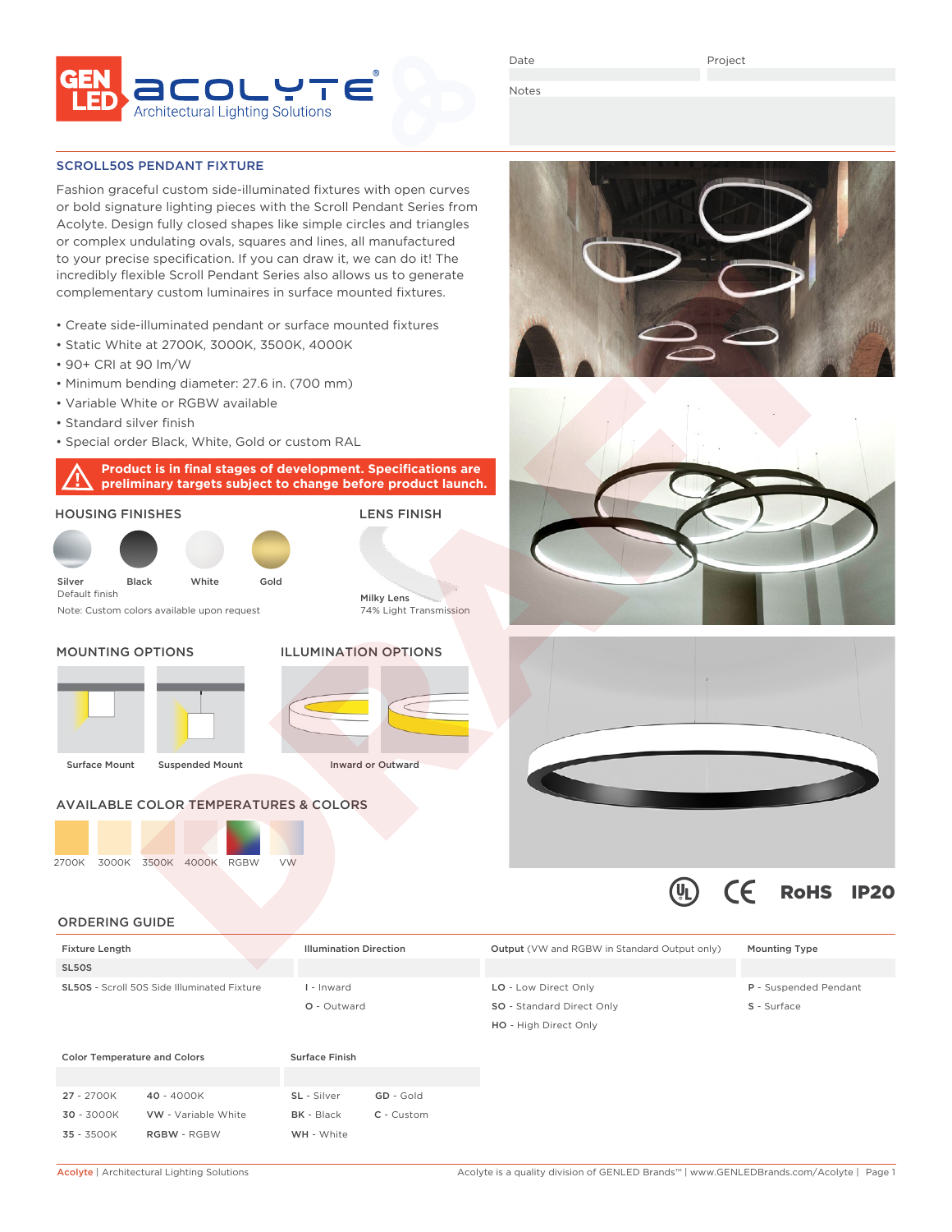

Date

Project

Notes

#### SCROLL50S PENDANT FIXTURE

Fashion graceful custom side-illuminated fixtures with open curves or bold signature lighting pieces with the Scroll Pendant Series from Acolyte. Design fully closed shapes like simple circles and triangles or complex undulating ovals, squares and lines, all manufactured to your precise specification. If you can draw it, we can do it! The incredibly flexible Scroll Pendant Series also allows us to generate complementary custom luminaires in surface mounted fixtures.

- Create side-illuminated pendant or surface mounted fixtures
- Static White at 2700K, 3000K, 3500K, 4000K
- 90+ CRI at 90 lm/W
- Minimum bending diameter: 27.6 in. (700 mm)
- Variable White or RGBW available
- Standard silver finish
- Special order Black, White, Gold or custom RAL

**Product is in final stages of development. Specifications are preliminary targets subject to change before product launch.**









 $\epsilon$ 

RoHS IP20

#### ORDERING GUIDE

| <b>Fixture Length</b>                              |                     | <b>Illumination Direction</b> |              | <b>Output</b> (VW and RGBW in Standard Output only) | <b>Mounting Type</b>  |
|----------------------------------------------------|---------------------|-------------------------------|--------------|-----------------------------------------------------|-----------------------|
| SL5OS                                              |                     |                               |              |                                                     |                       |
| <b>SL50S</b> - Scroll 50S Side Illuminated Fixture |                     | I - Inward                    |              | LO - Low Direct Only                                | P - Suspended Pendant |
|                                                    |                     | O - Outward                   |              | SO - Standard Direct Only                           | S - Surface           |
|                                                    |                     |                               |              | HO - High Direct Only                               |                       |
| <b>Color Temperature and Colors</b>                |                     | <b>Surface Finish</b>         |              |                                                     |                       |
|                                                    |                     |                               |              |                                                     |                       |
| 27 - 2700K                                         | 40 - 4000K          | SL - Silver                   | GD - Gold    |                                                     |                       |
| $30 - 3000K$                                       | VW - Variable White | <b>BK</b> - Black             | $C -$ Custom |                                                     |                       |

35 - 3500K RGBW - RGBW WH - White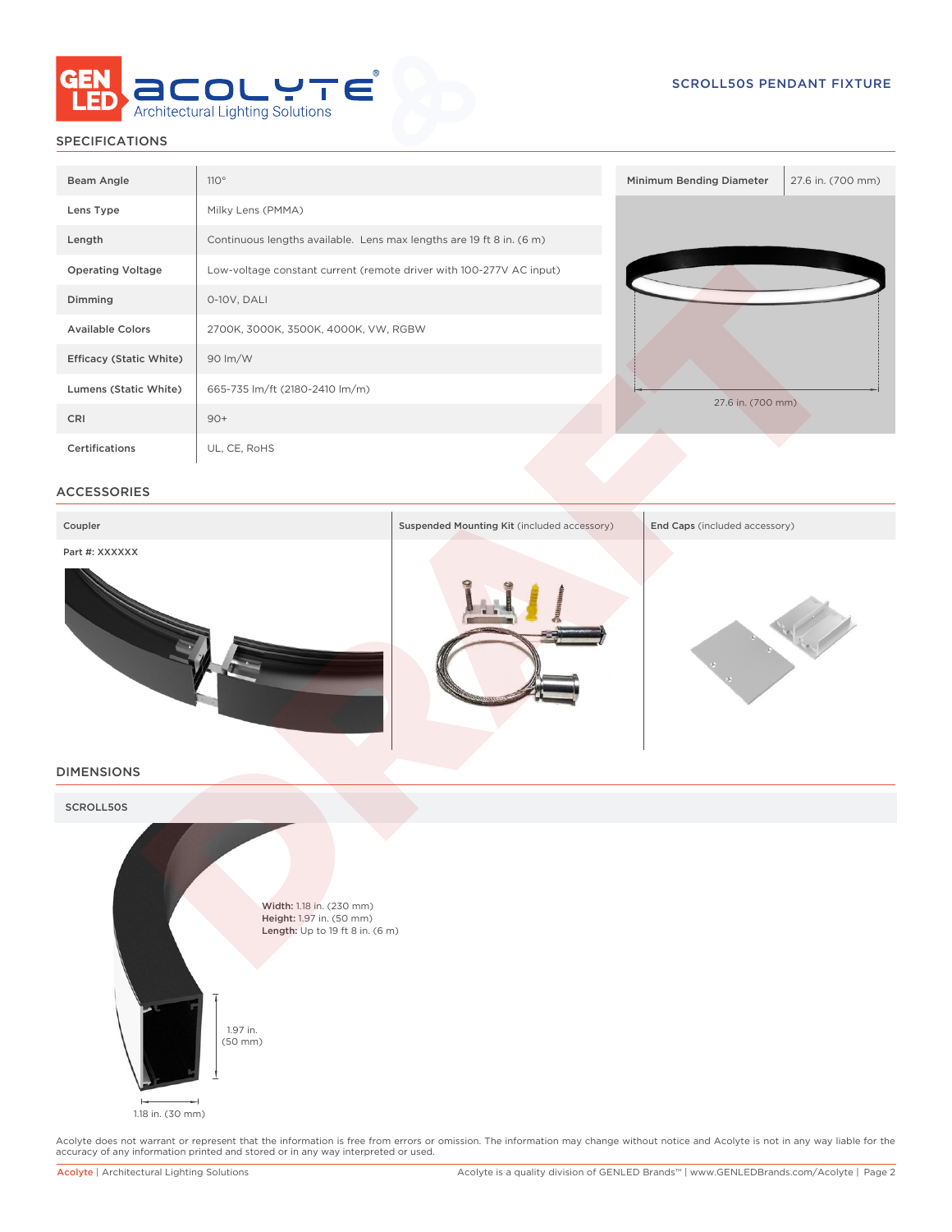

# SPECIFICATIONS

| Beam Angle                     | 110°                                                                 | Minimum Bending Diameter | 27.6 in. (700 mm) |
|--------------------------------|----------------------------------------------------------------------|--------------------------|-------------------|
| Lens Type                      | Milky Lens (PMMA)                                                    |                          |                   |
| Length                         | Continuous lengths available. Lens max lengths are 19 ft 8 in. (6 m) |                          |                   |
| <b>Operating Voltage</b>       | Low-voltage constant current (remote driver with 100-277V AC input)  |                          |                   |
| Dimming                        | 0-10V, DALI                                                          |                          |                   |
| <b>Available Colors</b>        | 2700K, 3000K, 3500K, 4000K, VW, RGBW                                 |                          |                   |
| <b>Efficacy (Static White)</b> | 90 lm/W                                                              |                          |                   |
| Lumens (Static White)          | 665-735 lm/ft (2180-2410 lm/m)                                       | 27.6 in. (700 mm)        |                   |
| CRI                            | $90+$                                                                |                          |                   |
| Certifications                 | UL, CE, RoHS                                                         |                          |                   |

## ACCESSORIES



# DIMENSIONS



Acolyte does not warrant or represent that the information is free from errors or omission. The information may change without notice and Acolyte is not in any way liable for the<br>accuracy of any information printed and sto